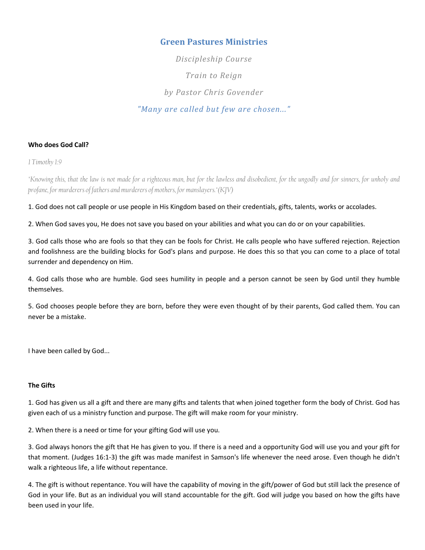# Green Pastures Ministries

Discipleship Course Train to Reign by Pastor Chris Govender "Many are called but few are chosen..."

### Who does God Call?

1 Timothy 1:9

"Knowing this, that the law is not made for a righteous man, but for the lawless and disobedient, for the ungodly and for sinners, for unholy and profane, for murderers of fathers and murderers of mothers, for manslayers."(KJV)

1. God does not call people or use people in His Kingdom based on their credentials, gifts, talents, works or accolades.

2. When God saves you, He does not save you based on your abilities and what you can do or on your capabilities.

3. God calls those who are fools so that they can be fools for Christ. He calls people who have suffered rejection. Rejection and foolishness are the building blocks for God's plans and purpose. He does this so that you can come to a place of total surrender and dependency on Him.

4. God calls those who are humble. God sees humility in people and a person cannot be seen by God until they humble themselves.

5. God chooses people before they are born, before they were even thought of by their parents, God called them. You can never be a mistake.

I have been called by God...

### The Gifts

1. God has given us all a gift and there are many gifts and talents that when joined together form the body of Christ. God has given each of us a ministry function and purpose. The gift will make room for your ministry.

2. When there is a need or time for your gifting God will use you.

3. God always honors the gift that He has given to you. If there is a need and a opportunity God will use you and your gift for that moment. (Judges 16:1-3) the gift was made manifest in Samson's life whenever the need arose. Even though he didn't walk a righteous life, a life without repentance.

4. The gift is without repentance. You will have the capability of moving in the gift/power of God but still lack the presence of God in your life. But as an individual you will stand accountable for the gift. God will judge you based on how the gifts have been used in your life.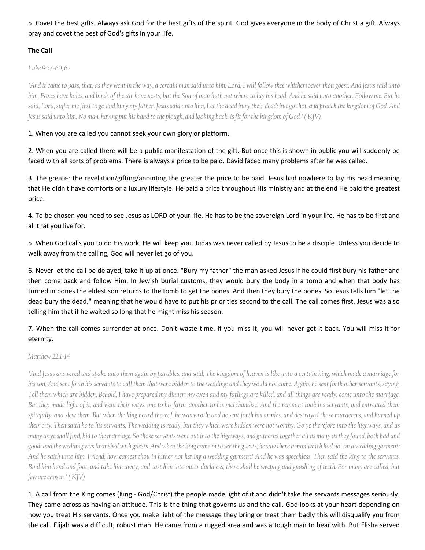5. Covet the best gifts. Always ask God for the best gifts of the spirit. God gives everyone in the body of Christ a gift. Always pray and covet the best of God's gifts in your life.

# The Call

Luke 9:57-60, 62

"And it came to pass, that, as they went in the way, a certain man said unto him, Lord, I will follow thee whithersoever thou goest. And Jesus said unto him, Foxes have holes, and birds of the air have nests; but the Son of man hath not where to lay his head. And he said unto another, Follow me. But he said, Lord, suffer me first to go and bury my father. Jesus said unto him, Let the dead bury their dead: but go thou and preach the kingdom of God. And Jesus said unto him, No man, having put his hand to the plough, and looking back, is fit for the kingdom of God." ( KJV)

1. When you are called you cannot seek your own glory or platform.

2. When you are called there will be a public manifestation of the gift. But once this is shown in public you will suddenly be faced with all sorts of problems. There is always a price to be paid. David faced many problems after he was called.

3. The greater the revelation/gifting/anointing the greater the price to be paid. Jesus had nowhere to lay His head meaning that He didn't have comforts or a luxury lifestyle. He paid a price throughout His ministry and at the end He paid the greatest price.

4. To be chosen you need to see Jesus as LORD of your life. He has to be the sovereign Lord in your life. He has to be first and all that you live for.

5. When God calls you to do His work, He will keep you. Judas was never called by Jesus to be a disciple. Unless you decide to walk away from the calling, God will never let go of you.

6. Never let the call be delayed, take it up at once. "Bury my father" the man asked Jesus if he could first bury his father and then come back and follow Him. In Jewish burial customs, they would bury the body in a tomb and when that body has turned in bones the eldest son returns to the tomb to get the bones. And then they bury the bones. So Jesus tells him "let the dead bury the dead." meaning that he would have to put his priorities second to the call. The call comes first. Jesus was also telling him that if he waited so long that he might miss his season.

7. When the call comes surrender at once. Don't waste time. If you miss it, you will never get it back. You will miss it for eternity.

# Matthew 22:1-14

"And Jesus answered and spake unto them again by parables, and said, The kingdom of heaven is like unto a certain king, which made a marriage for his son, And sent forth his servants to call them that were bidden to the wedding: and they would not come. Again, he sent forth other servants, saying, Tell them which are bidden, Behold, I have prepared my dinner: my oxen and my fatlings are killed, and all things are ready: come unto the marriage. But they made light of it, and went their ways, one to his farm, another to his merchandise: And the remnant took his servants, and entreated them spitefully, and slew them. But when the king heard thereof, he was wroth: and he sent forth his armies, and destroyed those murderers, and burned up their city. Then saith he to his servants, The wedding is ready, but they which were bidden were not worthy. Go ye therefore into the highways, and as many as ye shall find, bid to the marriage. So those servants went out into the highways, and gathered together all as many as they found, both bad and good: and the wedding was furnished with guests. And when the king came in to see the guests, he saw there a man which had not on a wedding garment: And he saith unto him, Friend, how camest thou in hither not having a wedding garment? And he was speechless. Then said the king to the servants, Bind him hand and foot, and take him away, and cast him into outer darkness; there shall be weeping and gnashing of teeth. For many are called, but few are chosen." ( KJV)

1. A call from the King comes (King - God/Christ) the people made light of it and didn't take the servants messages seriously. They came across as having an attitude. This is the thing that governs us and the call. God looks at your heart depending on how you treat His servants. Once you make light of the message they bring or treat them badly this will disqualify you from the call. Elijah was a difficult, robust man. He came from a rugged area and was a tough man to bear with. But Elisha served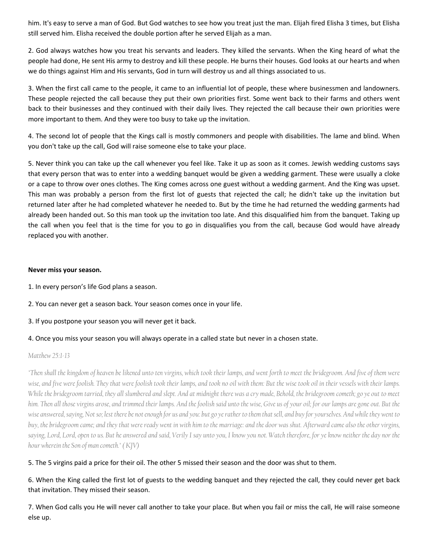him. It's easy to serve a man of God. But God watches to see how you treat just the man. Elijah fired Elisha 3 times, but Elisha still served him. Elisha received the double portion after he served Elijah as a man.

2. God always watches how you treat his servants and leaders. They killed the servants. When the King heard of what the people had done, He sent His army to destroy and kill these people. He burns their houses. God looks at our hearts and when we do things against Him and His servants, God in turn will destroy us and all things associated to us.

3. When the first call came to the people, it came to an influential lot of people, these where businessmen and landowners. These people rejected the call because they put their own priorities first. Some went back to their farms and others went back to their businesses and they continued with their daily lives. They rejected the call because their own priorities were more important to them. And they were too busy to take up the invitation.

4. The second lot of people that the Kings call is mostly commoners and people with disabilities. The lame and blind. When you don't take up the call, God will raise someone else to take your place.

5. Never think you can take up the call whenever you feel like. Take it up as soon as it comes. Jewish wedding customs says that every person that was to enter into a wedding banquet would be given a wedding garment. These were usually a cloke or a cape to throw over ones clothes. The King comes across one guest without a wedding garment. And the King was upset. This man was probably a person from the first lot of guests that rejected the call; he didn't take up the invitation but returned later after he had completed whatever he needed to. But by the time he had returned the wedding garments had already been handed out. So this man took up the invitation too late. And this disqualified him from the banquet. Taking up the call when you feel that is the time for you to go in disqualifies you from the call, because God would have already replaced you with another.

### Never miss your season.

- 1. In every person's life God plans a season.
- 2. You can never get a season back. Your season comes once in your life.
- 3. If you postpone your season you will never get it back.

### 4. Once you miss your season you will always operate in a called state but never in a chosen state.

#### Matthew 25:1-13

"Then shall the kingdom of heaven be likened unto ten virgins, which took their lamps, and went forth to meet the bridegroom. And five of them were wise, and five were foolish. They that were foolish took their lamps, and took no oil with them: But the wise took oil in their vessels with their lamps. While the bridegroom tarried, they all slumbered and slept. And at midnight there was a cry made, Behold, the bridegroom cometh; go ye out to meet him. Then all those virgins arose, and trimmed their lamps. And the foolish said unto the wise, Give us of your oil; for our lamps are gone out. But the wise answered, saying, Not so; lest there be not enough for us and you: but go ye rather to them that sell, and buy for yourselves. And while they went to buy, the bridegroom came; and they that were ready went in with him to the marriage: and the door was shut. Afterward came also the other virgins, saying, Lord, Lord, open to us. But he answered and said, Verily I say unto you, I know you not. Watch therefore, for ye know neither the day nor the hour wherein the Son of man cometh." ( KJV)

### 5. The 5 virgins paid a price for their oil. The other 5 missed their season and the door was shut to them.

# 6. When the King called the first lot of guests to the wedding banquet and they rejected the call, they could never get back that invitation. They missed their season.

7. When God calls you He will never call another to take your place. But when you fail or miss the call, He will raise someone else up.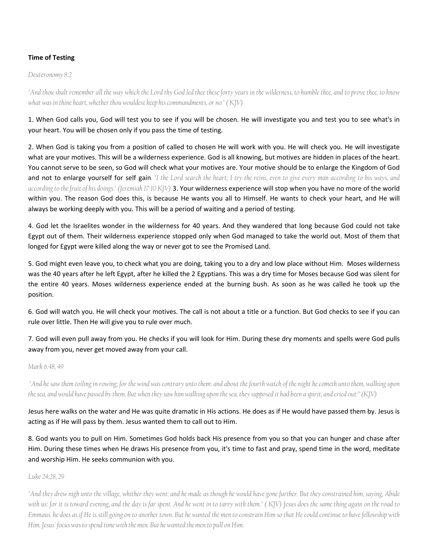### Time of Testing

Deuteronomy 8:2

"And thou shalt remember all the way which the Lord thy God led thee these forty years in the wilderness, to humble thee, and to prove thee, to know what was in thine heart, whether thou wouldest keep his commandments, or no." ( KJV)

1. When God calls you, God will test you to see if you will be chosen. He will investigate you and test you to see what's in your heart. You will be chosen only if you pass the time of testing.

2. When God is taking you from a position of called to chosen He will work with you. He will check you. He will investigate what are your motives. This will be a wilderness experience. God is all knowing, but motives are hidden in places of the heart. You cannot serve to be seen, so God will check what your motives are. Your motive should be to enlarge the Kingdom of God and not to enlarge yourself for self gain. "I the Lord search the heart; I try the reins, even to give every man according to his ways, and according to the fruit of his doings." (Jeremiah 17:10 KJV) 3. Your wilderness experience will stop when you have no more of the world within you. The reason God does this, is because He wants you all to Himself. He wants to check your heart, and He will always be working deeply with you. This will be a period of waiting and a period of testing.

4. God let the Israelites wonder in the wilderness for 40 years. And they wandered that long because God could not take Egypt out of them. Their wilderness experience stopped only when God managed to take the world out. Most of them that longed for Egypt were killed along the way or never got to see the Promised Land.

5. God might even leave you, to check what you are doing, taking you to a dry and low place without Him. Moses wilderness was the 40 years after he left Egypt, after he killed the 2 Egyptians. This was a dry time for Moses because God was silent for the entire 40 years. Moses wilderness experience ended at the burning bush. As soon as he was called he took up the position.

6. God will watch you. He will check your motives. The call is not about a title or a function. But God checks to see if you can rule over little. Then He will give you to rule over much.

7. God will even pull away from you. He checks if you will look for Him. During these dry moments and spells were God pulls away from you, never get moved away from your call.

#### Mark 6:48, 49

 "And he saw them toiling in rowing; for the wind was contrary unto them: and about the fourth watch of the night he cometh unto them, walking upon the sea, and would have passed by them. But when they saw him walking upon the sea, they supposed it had been a spirit, and cried out:" (KJV)

Jesus here walks on the water and He was quite dramatic in His actions. He does as if He would have passed them by. Jesus is acting as if He will pass by them. Jesus wanted them to call out to Him.

8. God wants you to pull on Him. Sometimes God holds back His presence from you so that you can hunger and chase after Him. During these times when He draws His presence from you, it's time to fast and pray, spend time in the word, meditate and worship Him. He seeks communion with you.

Luke 24:28, 29

"And they drew nigh unto the village, whither they went: and he made as though he would have gone further. But they constrained him, saying, Abide with us: for it is toward evening, and the day is far spent. And he went in to tarry with them." ( KJV) Jesus does the same thing again on the road to Emmaus. he does as if He is still going on to another town. But he wanted the men to constrain Him so that He could continue to have fellowship with Him. Jesus' focus was to spend time with the men. But he wanted the men to pull on Him.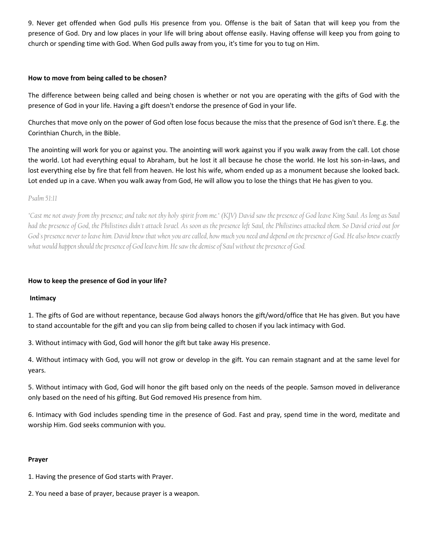9. Never get offended when God pulls His presence from you. Offense is the bait of Satan that will keep you from the presence of God. Dry and low places in your life will bring about offense easily. Having offense will keep you from going to church or spending time with God. When God pulls away from you, it's time for you to tug on Him.

#### How to move from being called to be chosen?

The difference between being called and being chosen is whether or not you are operating with the gifts of God with the presence of God in your life. Having a gift doesn't endorse the presence of God in your life.

Churches that move only on the power of God often lose focus because the miss that the presence of God isn't there. E.g. the Corinthian Church, in the Bible.

The anointing will work for you or against you. The anointing will work against you if you walk away from the call. Lot chose the world. Lot had everything equal to Abraham, but he lost it all because he chose the world. He lost his son-in-laws, and lost everything else by fire that fell from heaven. He lost his wife, whom ended up as a monument because she looked back. Lot ended up in a cave. When you walk away from God, He will allow you to lose the things that He has given to you.

#### Psalm 51:11

"Cast me not away from thy presence; and take not thy holy spirit from me." (KJV) David saw the presence of God leave King Saul. As long as Saul had the presence of God, the Philistines didn't attack Israel. As soon as the presence left Saul, the Philistines attacked them. So David cried out for God's presence never to leave him. David knew that when you are called, how much you need and depend on the presence of God. He also knew exactly what would happen should the presence of God leave him. He saw the demise of Saul without the presence of God.

### How to keep the presence of God in your life?

### Intimacy

1. The gifts of God are without repentance, because God always honors the gift/word/office that He has given. But you have to stand accountable for the gift and you can slip from being called to chosen if you lack intimacy with God.

3. Without intimacy with God, God will honor the gift but take away His presence.

4. Without intimacy with God, you will not grow or develop in the gift. You can remain stagnant and at the same level for years.

5. Without intimacy with God, God will honor the gift based only on the needs of the people. Samson moved in deliverance only based on the need of his gifting. But God removed His presence from him.

6. Intimacy with God includes spending time in the presence of God. Fast and pray, spend time in the word, meditate and worship Him. God seeks communion with you.

### Prayer

1. Having the presence of God starts with Prayer.

2. You need a base of prayer, because prayer is a weapon.